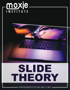

 $\overline{r}$ 

 $\overline{\phantom{0}}$ 

WWW.MOXIEINSTITUTE.COM | (858) 771-6827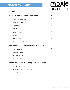#### TABLE OF CONTENTS

#### **Introduction**

moxje **INSTITUTE 1**

| iiiu vuucuvii                                          |                                        |                |
|--------------------------------------------------------|----------------------------------------|----------------|
| The Nitty Gritty of PowerPoint Design                  |                                        | 3              |
|                                                        | Keep Text to a Minumum                 | 3              |
|                                                        | <b>Rethink Visuals</b>                 | 4              |
|                                                        | <b>Templates</b>                       | $\overline{4}$ |
|                                                        | <b>Charts and Graphs</b>               | $\overline{4}$ |
|                                                        | <b>Color Themes</b>                    | 5              |
|                                                        | Fonts                                  | 5              |
|                                                        | <b>Image Quality</b>                   | 5              |
|                                                        | Incorporate Multimedia                 | 6              |
| <b>Top Three Tips to Edit Your PowerPoint Slides</b>   |                                        | 7              |
|                                                        | <b>Make it Shorter</b>                 | 8              |
|                                                        | <b>Make It Consistent</b>              | 10             |
|                                                        | <b>Make it Powerful</b>                | 10             |
|                                                        | <b>Triple Checklist</b>                | 11             |
| <b>Bonus: TED Guide to Creating + Preparing Slides</b> |                                        | 12             |
|                                                        | <b>Editing Your Slides</b>             | 12             |
|                                                        | <b>Prepare Slides for Presentation</b> | 13             |
|                                                        | <b>TEDx Tips</b>                       | 14             |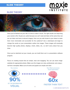### moxie **INSTITUTE**

#### **SLIDE THEORY**



Once you've fleshed out your talk, it's time to make it visual. The right visuals can help bring your words to life. Visuals are useful because we can't read and listen at the same time, but we can listen and look at relevant imagery. How can you add visuals to your ideas to make them more memorable and accessible for the audience? Use a sketchpad and begin to change the words on your presentation outline into images. These images will eventually become high quality photos, displays, charts, slides, etc., so don't worry about how you draw.

Once you've sketched out your visuals, you can build them out in a presentation software program.

Focus on creating visuals that are simple, clear and engaging. You can use stock image websites for appropriate photos. Make sure the images are clear, professional, and unique- not from a template. Make sure all charts and graphs are simple and clear.





Your Brain processes visual information



© 2019 MOXIE INSTITUTE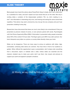moxje

Most people have heard the advice about PowerPoint: Keep it simple, don't use a slide deck as a substitute for notes, and don't repeat out loud words that are on the slide. Not only is reciting slides a variation of the teleprompter problem—"Oh, no, she's reading to us, too!"—but information is interesting only once, and hearing and seeing the same words feels repetitive. That advice may seem universal by now, but go into any company and you'll see presenters violating it every day.

Researchers have discovered that ideas are much more likely to be remembered if they are presented as pictures instead of words, or even pictures paired with words. Psychologists call it the Picture Superiority Effect (PSE). If information is presented orally, people remember about 10% of the content 72 hours later. That figure goes up to 65% if you add a picture. Our brain interprets every letter as a picture, so wordy slides literally choke your brain.

Slides can be dangerous. There are many ways to annoy an audience with slides. Ugly, overloaded, confusing slide decks are common. Your face time in front of an audience is golden. When offered the opportunity to give a presentation, don't simply write everything from a document, report, or website onto a slide. Unless slides are essential and the clearest, simplest way to make your point, don't use them. Use visuals and pictures to support your point and appeal to people's emotions.

*At Moxie, we say that bullets are for guns, not slides.*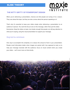## moxje **INSTITUTE**

#### **THE NITTY GRITTY OF POWERPOINT DESIGN**

When you're delivering a presentation, chances are that people are tuning in for a reason. They care about the topic, but they are also curious about the person speaking on it.

That's why it's essential to keep your slides simple when delivering a presentation to an audience in-person. You want the focus to be on the message, rather than just the slides themselves. Keep the slides on-topic, but simple enough that people can still pay attention to what you're saying, using the visual presentation to support your message.

#### *Keep text to a minimum*

One way to accomplish this simplicity is to reduce the amount of text in your presentation. People recall information better when images are paired with it (as opposed to text), so to help your message resonate with the audience, focus on visual content when you create your slides -- we'll cover more on that shortly.

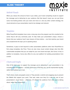### moxie **INSTITUTE**

#### *Rethink Visuals*

When you reduce the amount of text in your slides, you'll need compelling visuals to support the message you're delivering to your audience. But that doesn't mean you can just throw some nice-looking photos onto your deck and move on. Like any other content strategy, the visual elements of your presentation need to be strategic and relevant.

#### *Templates*

While PowerPoint templates have come a long way since the program was first unveiled to the world, they're still very commonly used. To help make your presentation unique, choose a theme that your audience hasn't seen dozens of times before -- one that matches your brand and complements the topic you're speaking about.

Sometimes, it pays to look beyond to other presentation platforms other than PowerPoint to find unique templates, like Prezi. There are also many visual content design sites that offer customizable templates that you can adapt for your own brand and topic, like Canva. In fact, in addition to templates, Canva also offers its very own platform for building presentations from scratch.

#### *Charts and Graphs*

One of the best ways to support the message you're delivering in your presentation is by including data and statistics -- and the good news is that they, too, can be represented visually, rather than bulleted out in text.

That's where charts and graphs come in: They provide a colorful and engaging way to present the details that support your point. That said, make sure they fit in with the rest of your presentation's visual theme -- otherwise, it'll distract the audience from what you're talking about, rather than enhancing it.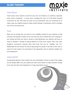## moxje **INSTITUTE**

#### *Color Themes*

There's been some research around the way color can influence our emotions, especially when used in marketing -- in some cases, changing the color of a CTA button boosted conversions by 21%. And while the goal of your presentation may not necessarily be to make a sale, you might be trying to invoke certain feelings or impressions, which a strategic use of color can help you do.

#### *Fonts*

When you do include text, you want it to be readable enough for your audience to fully consume and interpret it easily. You do not want your font to distract from your message. If you include text that's too small or dense to read effortlessly, your listeners will focus on trying to decipher it instead of paying attention to what you're saying. That's why many designers recommend choosing Sans Serif fonts that opt for "legibility over fun." Additionally, the text should not only be big enough for people in the back of the room to read, but it also needs to be presented in the appropriate color to maintain visibility over your background.

#### *Image Quality*

Incorporating fabulous visual content into your presentation will go to waste if the images are low-quality. Make sure your photos and other visual assets are high-resolution enough to be crisp and clear when displayed on a huge presentation screen.

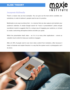### moxje INSTITUTE

#### *Incorporate Multimedia*

There's a reason why we love examples. You can give out the best advice available, but sometimes, in order to believe it, people need to see it in practice.

Multimedia is one way to achieve that -- in a manner that can also capture and maintain your audience's attention. A simple Google search for "music in presentations" yields enough soundtrack results to suggests that it's a unique way of engaging your audience, or at least to create a welcoming atmosphere before and after you speak.

Within the presentation itself, video -- as it is in so many other applications -- serves as valuable visual content to keep your audience engaged.

After all, 43% of people want to see more video content from marketers, often because it helps to illustrate and explain theories in a way that the spoken word or photographs can't do alone.

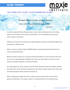#### **TOP THREE TIPS TO EDIT YOUR POWERPOINT SLIDES**

*"The main thing I try to do is write as clearly as I can. I rewrite a good deal to make it clear."* 

– E.B. White

moxje

**INSTITUTE** 

It could be argued that the editing process is more vital to writing than the act of writing itself. Your first draft is a hectic mess of cake batter: a mix of ingredients covering your hands, clothes, and kitchen.

Editing is the moment when that mess is baked together to become something tangible and less gooey: A delicious cake.

When it comes to content creation, MOXiE follows a specific philosophy that informs the way we edit speechwriting.

Minimal content is always our core goal, but the idea behind it is much richer than that. Our aim is not to create telegraph shorthand, but rather, say what needs to be said in as few words as possible. No jargon, no fluff, just the facts.

Our writing goals are never reached in the first draft. Sometimes they don't happen until the 7th draft, which can be intensely frustrating, but also offers a larger reward when client work and internal projects finally receive two thumbs up.

When we approach editing more like a creative process and less like a drone-task for grammar aficionados, it can shape content in unexpected (and much improved) ways.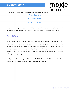

When we edit a presentation, we look at three core areas to improve:

*Make it shorter. Make it consistent. Make it impactful.*

Here are some ways to improve each of these areas, with an additional checklist at the end to make sure your presentation content becomes the delicious cake it was meant to be.

#### *Make It Shorter*

When we say "shorter," we don't mean you should cram all of your ideas into two slides. Our focus is still on keeping each slide design-friendly and visually appealing by reducing the amount of text overall. Each slide should contain one solitary idea: no more than that. If you add ten slides, but they are beautiful and each have a single word or two on the screen, you will spend the same amount of time explaining the same amount of concepts, but it will look infinitely more appealing.

Having a hard time getting rid of text on each slide? Not ready to "kill your darlings," as Stephen King suggests? **Consider trying the following challenge:**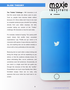**The "Twitter" Challenge –** 140 characters is all that this social media site allows users to post. Trust us, people have become better editors because of it. Since slides don't have to be read as complete sentences (you shouldn't be reading directly from your slides anyways, tsk tsk!), consider taking our version of the "Twitter" challenge: 30 characters or less for each slide.

For example, instead of saying: "Our yearly profit report shows that profits have exceeded expectations," say: "Profits are up," which is 14 characters with spaces. It says what you need it to say, and anything else can be added verbally or shown with a chart, preferably on the next slide.

Reducing text on each slide is about slicing and dicing the things you will be explaining as you deliver, or that the audience already knows. It's about eliminating filler, run-on sentences, and sometimes even full sentences. Occasionally, all you need is a single word that can guide you through the structure of the talk, like "profits." Presentations are much more flexible than MLAformatted essays: there are no rules, only eyesores that occur when too much text is onscreen.

moxje

**INSTITUTE**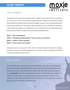

#### *Make It Consistent*

Consistency isn't merely about using the word "cupidity" on one slide and "bro" on another. It's ensuring your work is structured with a beginning/intro, middle/core, and end/outro. Main points should be revisited, stories should be wrapped up by the end, and themes should be continued throughout and not forgotten later. Consistency can be achieved by creating an outline before you begin, or by writing down the key concept from each slide after you've finished the first draft. An outline could look a little something like this:

**Slide 1 – Title, "Yearly Report" Slide 2 – Thought provoking question: "Have you seen our numbers?" Slide 3 – Answer: "They're amazing." Slide 4 – Chart to prove how amazing**

Keeping an eye on your goal for each slide can prevent important points from slipping through the cracks or remaining unvisited later. The structure of your presentation should be carefully examined from start to finish.

#### *Make It Powerful*

If you wouldn't want to sit through your own presentation, no one else will. Creating slides for impact sometimes requires that you take a step back (or several) and let someone else look at your content. It also means that you spend a little more time revising and refining your **call-to-action** at the end, ensuring that the audience is left with their jaws dropped. The audience should be taken on a journey throughout your presentation. It starts with them sitting down, not knowing the information they are about to hear. Then gradually, in bits and pieces, your story is told until it reaches the end.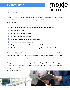

#### *The Triple-Checklist*

After you've worked through some larger editing issues like consistency, it's time to revisit your work for some of the smaller issues before you finalize the draft. Here are a few things to ask yourself:

- ❏ **Have you read the entire presentation out loud to check for mistakes?**
- ❏ **Has anyone else read it?**
- ❏ **Are your verbs in the right tense?**
- ❏ **Are your main takeaways clear?**
- ❏ **Is the text short and to-the-point on each slide?**
- ❏ **Is there a logical order to the slides?**
- ❏ **Do you have a strong conclusion and call-to-action?**
- ❏ **Consider your audience: are you repeating anything they already know?**

Sometimes editing requires you to take a step away from the project and revisit it with fresh eyes. We often have a day or so between each round of edits at MOXiE, which helps us take a breather and revisit our content goals later.

Editing is so much more than crossing the t's and dotting the i's; it's about refining your creation and improving your own understanding of the content. When done mindfully, editing can ensure that you can enjoy the delicious double-layer German chocolate cake that is your presentation.

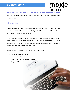### moxje **INSTITUTE BONUS: TED GUIDE TO CREATING + PREPARING SLIDES**

Not every speaker decides to use slides, but if they do, there's one cardinal rule to follow: Keep it simple.

#### *Editing Your Slides*

Slides can be helpful, but are not necessarily suited for a particular talk. In fact, many of our best TED and TEDx Talks omitted slides. So if you don't think you need slides, don't use slides. Your talk is strong enough without them.

When you do choose slides, the general consensus is that **less is more.** A single, strong, graphic image or succinct line of text will tell your story better than a crowded collage of pictures or long paragraphs. Remember, people need to process everything a speaker is saying while simultaneously absorbing the slides.

12

It's important to review your slides, edit, and cut when needed.

When it comes to images and design:

- Make sure the slides are image rich, and easy to understand. Bring in a designer if needed.
- **•** Only use high-resolution pictures and graphics.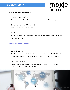

When it comes to text and content, ask:

#### *Do the slides have a lot of text?*

Text-heavy slides will only distract the listener from the heart of the message.

#### *Do the slides have too much information?*

No slide should support more than one point.

#### *Is each slide necessary?*

Too many slides can be distracting. Make sure every slide has a purpose –- for those that don't, cut them.

#### **Prepare Slides for Presentation**

Here are the need-to-knows:

#### *Text size is important*

The slide text should be large enough to be legible to the person sitting farthest from the stage. Make sure you test this during rehearsal, and make changes if needed.

#### *Use a simple slide background*

A simple background keeps the text readable. If you are using a dark or black background, make the text light and bold.